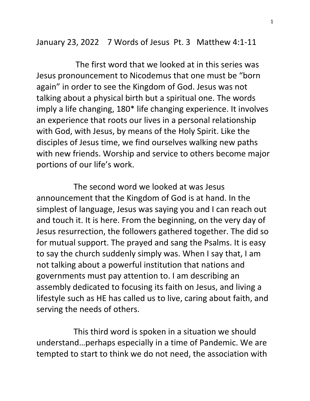January 23, 2022 7 Words of Jesus Pt. 3 Matthew 4:1-11

 The first word that we looked at in this series was Jesus pronouncement to Nicodemus that one must be "born again" in order to see the Kingdom of God. Jesus was not talking about a physical birth but a spiritual one. The words imply a life changing, 180\* life changing experience. It involves an experience that roots our lives in a personal relationship with God, with Jesus, by means of the Holy Spirit. Like the disciples of Jesus time, we find ourselves walking new paths with new friends. Worship and service to others become major portions of our life's work.

 The second word we looked at was Jesus announcement that the Kingdom of God is at hand. In the simplest of language, Jesus was saying you and I can reach out and touch it. It is here. From the beginning, on the very day of Jesus resurrection, the followers gathered together. The did so for mutual support. The prayed and sang the Psalms. It is easy to say the church suddenly simply was. When I say that, I am not talking about a powerful institution that nations and governments must pay attention to. I am describing an assembly dedicated to focusing its faith on Jesus, and living a lifestyle such as HE has called us to live, caring about faith, and serving the needs of others.

 This third word is spoken in a situation we should understand…perhaps especially in a time of Pandemic. We are tempted to start to think we do not need, the association with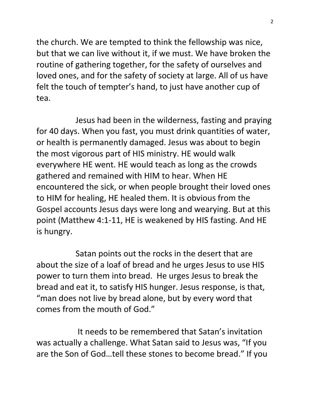the church. We are tempted to think the fellowship was nice, but that we can live without it, if we must. We have broken the routine of gathering together, for the safety of ourselves and loved ones, and for the safety of society at large. All of us have felt the touch of tempter's hand, to just have another cup of tea.

 Jesus had been in the wilderness, fasting and praying for 40 days. When you fast, you must drink quantities of water, or health is permanently damaged. Jesus was about to begin the most vigorous part of HIS ministry. HE would walk everywhere HE went. HE would teach as long as the crowds gathered and remained with HIM to hear. When HE encountered the sick, or when people brought their loved ones to HIM for healing, HE healed them. It is obvious from the Gospel accounts Jesus days were long and wearying. But at this point (Matthew 4:1-11, HE is weakened by HIS fasting. And HE is hungry.

 Satan points out the rocks in the desert that are about the size of a loaf of bread and he urges Jesus to use HIS power to turn them into bread. He urges Jesus to break the bread and eat it, to satisfy HIS hunger. Jesus response, is that, "man does not live by bread alone, but by every word that comes from the mouth of God."

 It needs to be remembered that Satan's invitation was actually a challenge. What Satan said to Jesus was, "If you are the Son of God…tell these stones to become bread." If you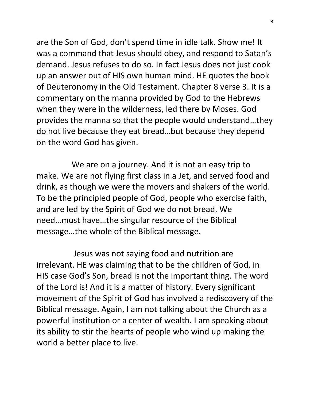are the Son of God, don't spend time in idle talk. Show me! It was a command that Jesus should obey, and respond to Satan's demand. Jesus refuses to do so. In fact Jesus does not just cook up an answer out of HIS own human mind. HE quotes the book of Deuteronomy in the Old Testament. Chapter 8 verse 3. It is a commentary on the manna provided by God to the Hebrews when they were in the wilderness, led there by Moses. God provides the manna so that the people would understand…they do not live because they eat bread…but because they depend on the word God has given.

 We are on a journey. And it is not an easy trip to make. We are not flying first class in a Jet, and served food and drink, as though we were the movers and shakers of the world. To be the principled people of God, people who exercise faith, and are led by the Spirit of God we do not bread. We need…must have…the singular resource of the Biblical message…the whole of the Biblical message.

 Jesus was not saying food and nutrition are irrelevant. HE was claiming that to be the children of God, in HIS case God's Son, bread is not the important thing. The word of the Lord is! And it is a matter of history. Every significant movement of the Spirit of God has involved a rediscovery of the Biblical message. Again, I am not talking about the Church as a powerful institution or a center of wealth. I am speaking about its ability to stir the hearts of people who wind up making the world a better place to live.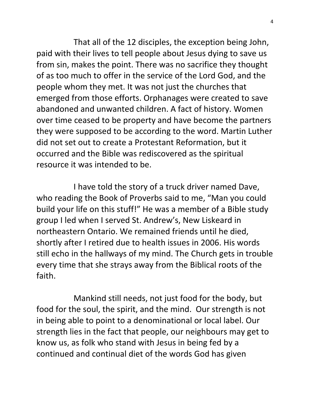That all of the 12 disciples, the exception being John, paid with their lives to tell people about Jesus dying to save us from sin, makes the point. There was no sacrifice they thought of as too much to offer in the service of the Lord God, and the people whom they met. It was not just the churches that emerged from those efforts. Orphanages were created to save abandoned and unwanted children. A fact of history. Women over time ceased to be property and have become the partners they were supposed to be according to the word. Martin Luther did not set out to create a Protestant Reformation, but it occurred and the Bible was rediscovered as the spiritual resource it was intended to be.

 I have told the story of a truck driver named Dave, who reading the Book of Proverbs said to me, "Man you could build your life on this stuff!" He was a member of a Bible study group I led when I served St. Andrew's, New Liskeard in northeastern Ontario. We remained friends until he died, shortly after I retired due to health issues in 2006. His words still echo in the hallways of my mind. The Church gets in trouble every time that she strays away from the Biblical roots of the faith.

 Mankind still needs, not just food for the body, but food for the soul, the spirit, and the mind. Our strength is not in being able to point to a denominational or local label. Our strength lies in the fact that people, our neighbours may get to know us, as folk who stand with Jesus in being fed by a continued and continual diet of the words God has given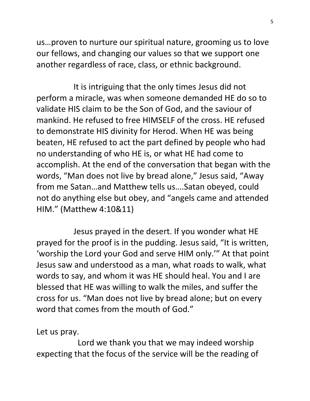us…proven to nurture our spiritual nature, grooming us to love our fellows, and changing our values so that we support one another regardless of race, class, or ethnic background.

 It is intriguing that the only times Jesus did not perform a miracle, was when someone demanded HE do so to validate HIS claim to be the Son of God, and the saviour of mankind. He refused to free HIMSELF of the cross. HE refused to demonstrate HIS divinity for Herod. When HE was being beaten, HE refused to act the part defined by people who had no understanding of who HE is, or what HE had come to accomplish. At the end of the conversation that began with the words, "Man does not live by bread alone," Jesus said, "Away from me Satan…and Matthew tells us….Satan obeyed, could not do anything else but obey, and "angels came and attended HIM." (Matthew 4:10&11)

 Jesus prayed in the desert. If you wonder what HE prayed for the proof is in the pudding. Jesus said, "It is written, 'worship the Lord your God and serve HIM only.'" At that point Jesus saw and understood as a man, what roads to walk, what words to say, and whom it was HE should heal. You and I are blessed that HE was willing to walk the miles, and suffer the cross for us. "Man does not live by bread alone; but on every word that comes from the mouth of God."

Let us pray.

 Lord we thank you that we may indeed worship expecting that the focus of the service will be the reading of